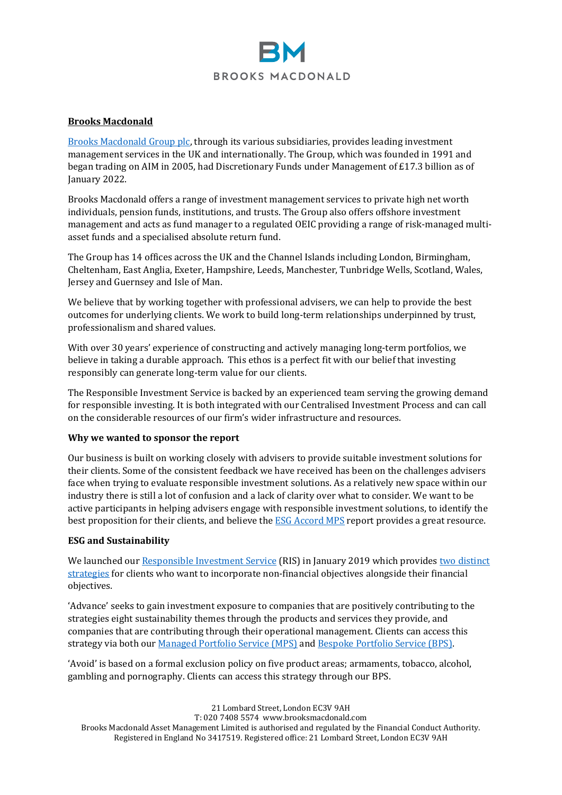

## **Brooks Macdonald**

[Brooks Macdonald Group plc,](http://www.brooksmacdonald.com/) through its various subsidiaries, provides leading investment management services in the UK and internationally. The Group, which was founded in 1991 and began trading on AIM in 2005, had Discretionary Funds under Management of £17.3 billion as of January 2022.

Brooks Macdonald offers a range of investment management services to private high net worth individuals, pension funds, institutions, and trusts. The Group also offers offshore investment management and acts as fund manager to a regulated OEIC providing a range of risk-managed multiasset funds and a specialised absolute return fund.

The Group has 14 offices across the UK and the Channel Islands including London, Birmingham, Cheltenham, East Anglia, Exeter, Hampshire, Leeds, Manchester, Tunbridge Wells, Scotland, Wales, Jersey and Guernsey and Isle of Man.

We believe that by working together with professional advisers, we can help to provide the best outcomes for underlying clients. We work to build long-term relationships underpinned by trust, professionalism and shared values.

With over 30 years' experience of constructing and actively managing long-term portfolios, we believe in taking a durable approach. This ethos is a perfect fit with our belief that investing responsibly can generate long-term value for our clients.

The Responsible Investment Service is backed by an experienced team serving the growing demand for responsible investing. It is both integrated with our Centralised Investment Process and can call on the considerable resources of our firm's wider infrastructure and resources.

## **Why we wanted to sponsor the report**

Our business is built on working closely with advisers to provide suitable investment solutions for their clients. Some of the consistent feedback we have received has been on the challenges advisers face when trying to evaluate responsible investment solutions. As a relatively new space within our industry there is still a lot of confusion and a lack of clarity over what to consider. We want to be active participants in helping advisers engage with responsible investment solutions, to identify the best proposition for their clients, and believe the **ESG Accord MPS** report provides a great resource.

## **ESG and Sustainability**

We launched ou[r Responsible Investment Service \(](https://www.brooksmacdonald.com/insights/responsible-investment-hub)RIS) in January 2019 which provides two distinct [strategies f](https://www.brooksmacdonald.com/investment-management/services/responsible-investment-service/avoid-advance-strategies)or clients who want to incorporate non-financial objectives alongside their financial objectives.

'Advance' seeks to gain investment exposure to companies that are positively contributing to the strategies eight sustainability themes through the products and services they provide, and companies that are contributing through their operational management. Clients can access this strategy via both ou[r Managed Portfolio Service \(MPS\) a](https://www.brooksmacdonald.com/investment-management/services/managed-portfolio-service)nd [Bespoke Portfolio Service \(BPS\).](https://www.brooksmacdonald.com/investment-management/services/bespoke-portfolio-service) 

'Avoid' is based on a formal exclusion policy on five product areas; armaments, tobacco, alcohol, gambling and pornography. Clients can access this strategy through our BPS.

21 Lombard Street, London EC3V 9AH

T: 020 7408 5574 www.brooksmacdonald.com Brooks Macdonald Asset Management Limited is authorised and regulated by the Financial Conduct Authority. Registered in England No 3417519. Registered office: 21 Lombard Street, London EC3V 9AH